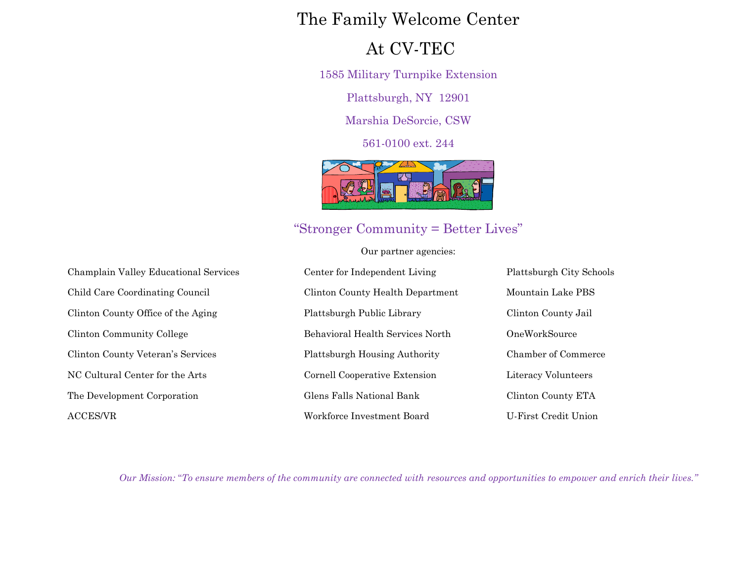## The Family Welcome Center

## At CV-TEC

1585 Military Turnpike Extension

Plattsburgh, NY 12901

Marshia DeSorcie, CSW

561-0100 ext. 244



## "Stronger Community = Better Lives"

Our partner agencies:

| Champlain Valley Educational Services | Center for Independent Living        | Plattsburgh City Schools |
|---------------------------------------|--------------------------------------|--------------------------|
| Child Care Coordinating Council       | Clinton County Health Department     | Mountain Lake PBS        |
| Clinton County Office of the Aging    | Plattsburgh Public Library           | Clinton County Jail      |
| Clinton Community College             | Behavioral Health Services North     | OneWorkSource            |
| Clinton County Veteran's Services     | <b>Plattsburgh Housing Authority</b> | Chamber of Commerce      |
| NC Cultural Center for the Arts       | Cornell Cooperative Extension        | Literacy Volunteers      |
| The Development Corporation           | Glens Falls National Bank            | Clinton County ETA       |
| $\operatorname{ACCES/VR}$             | Workforce Investment Board           | U-First Credit Union     |

*Our Mission:* "*To ensure members of the community are connected with resources and opportunities to empower and enrich their lives."*